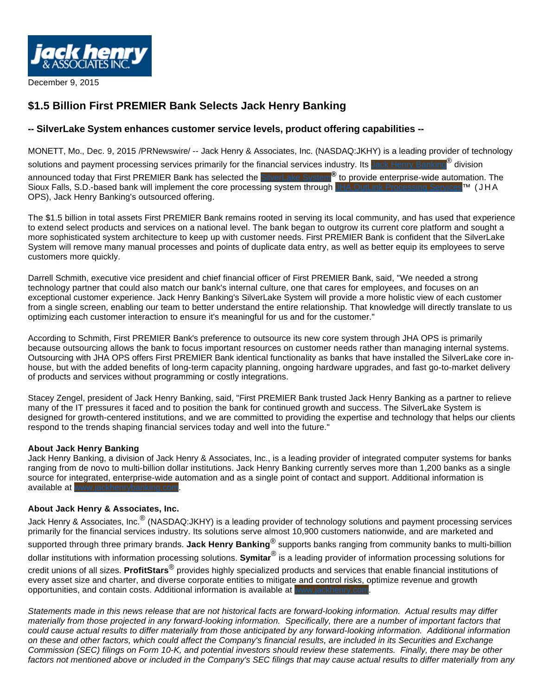

December 9, 2015

## **\$1.5 Billion First PREMIER Bank Selects Jack Henry Banking**

## **-- SilverLake System enhances customer service levels, product offering capabilities --**

MONETT, Mo., Dec. 9, 2015 /PRNewswire/ -- Jack Henry & Associates, Inc. (NASDAQ:JKHY) is a leading provider of technology solutions and payment processing services primarily for the financial services industry. Its <mark>Jack Henry Banking</mark>® division announced today that First PREMIER Bank has selected the SilverLake System**®** to provide enterprise-wide automation. The Sioux Falls, S.D.-based bank will implement the core processing system through JHA OutLink Processing Services™ (JHA OPS), Jack Henry Banking's outsourced offering.

The \$1.5 billion in total assets First PREMIER Bank remains rooted in serving its local community, and has used that experience to extend select products and services on a national level. The bank began to outgrow its current core platform and sought a more sophisticated system architecture to keep up with customer needs. First PREMIER Bank is confident that the SilverLake System will remove many manual processes and points of duplicate data entry, as well as better equip its employees to serve customers more quickly.

Darrell Schmith, executive vice president and chief financial officer of First PREMIER Bank, said, "We needed a strong technology partner that could also match our bank's internal culture, one that cares for employees, and focuses on an exceptional customer experience. Jack Henry Banking's SilverLake System will provide a more holistic view of each customer from a single screen, enabling our team to better understand the entire relationship. That knowledge will directly translate to us optimizing each customer interaction to ensure it's meaningful for us and for the customer."

According to Schmith, First PREMIER Bank's preference to outsource its new core system through JHA OPS is primarily because outsourcing allows the bank to focus important resources on customer needs rather than managing internal systems. Outsourcing with JHA OPS offers First PREMIER Bank identical functionality as banks that have installed the SilverLake core inhouse, but with the added benefits of long-term capacity planning, ongoing hardware upgrades, and fast go-to-market delivery of products and services without programming or costly integrations.

Stacey Zengel, president of Jack Henry Banking, said, "First PREMIER Bank trusted Jack Henry Banking as a partner to relieve many of the IT pressures it faced and to position the bank for continued growth and success. The SilverLake System is designed for growth-centered institutions, and we are committed to providing the expertise and technology that helps our clients respond to the trends shaping financial services today and well into the future."

## **About Jack Henry Banking**

Jack Henry Banking, a division of Jack Henry & Associates, Inc., is a leading provider of integrated computer systems for banks ranging from de novo to multi-billion dollar institutions. Jack Henry Banking currently serves more than 1,200 banks as a single source for integrated, enterprise-wide automation and as a single point of contact and support. Additional information is available at www.jackhenrybanking.com.

## **About Jack Henry & Associates, Inc.**

Jack Henry & Associates, Inc. $^\circledR$  (NASDAQ:JKHY) is a leading provider of technology solutions and payment processing services primarily for the financial services industry. Its solutions serve almost 10,900 customers nationwide, and are marketed and supported through three primary brands. **Jack Henry Banking**® supports banks ranging from community banks to multi-billion dollar institutions with information processing solutions. **Symitar**® is a leading provider of information processing solutions for credit unions of all sizes. **ProfitStars**® provides highly specialized products and services that enable financial institutions of every asset size and charter, and diverse corporate entities to mitigate and control risks, optimize revenue and growth opportunities, and contain costs. Additional information is available at www.jackhenry.com

Statements made in this news release that are not historical facts are forward-looking information. Actual results may differ materially from those projected in any forward-looking information. Specifically, there are a number of important factors that could cause actual results to differ materially from those anticipated by any forward-looking information. Additional information on these and other factors, which could affect the Company's financial results, are included in its Securities and Exchange Commission (SEC) filings on Form 10-K, and potential investors should review these statements. Finally, there may be other factors not mentioned above or included in the Company's SEC filings that may cause actual results to differ materially from any